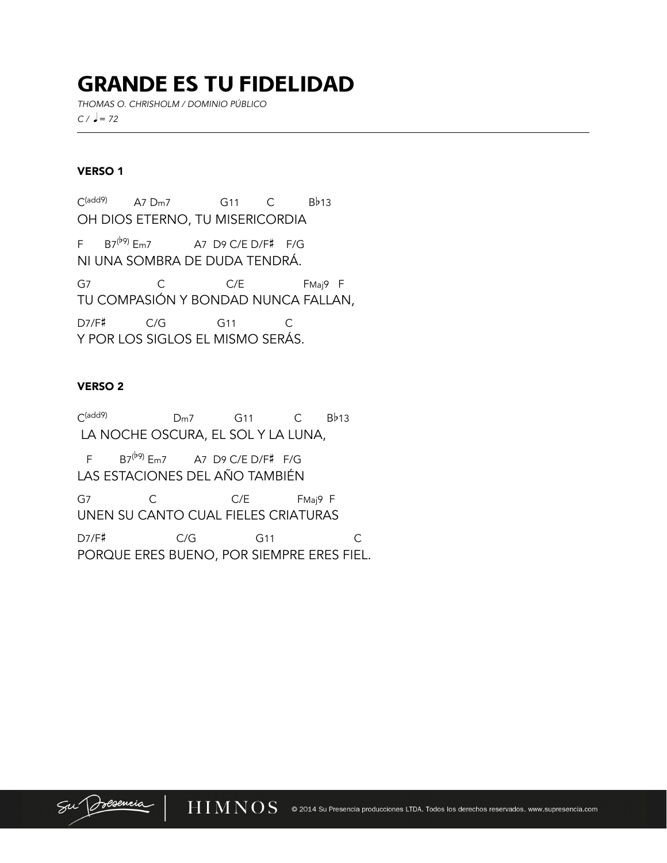# GRANDE ES TU FIDELIDAD

*THOMAS O. CHRISHOLM / DOMINIO PÚBLICO*   $C / \, \text{J} = 72$ 

## VERSO 1

l

C(add9) A7 Dm7 G11 C Bb13 OH DIOS ETERNO, TU MISERICORDIA F  $B7^{(b9)}$  Em7 A7 D9 C/E D/F# F/G NI UNA SOMBRA DE DUDA TENDRÁ. G7 C C/E FMaj9 F TU COMPASIÓN Y BONDAD NUNCA FALLAN, D7/F# C/G G11 C Y POR LOS SIGLOS EL MISMO SERÁS.

## VERSO 2

C(add9) Dm7 G11 C Bb13 LA NOCHE OSCURA, EL SOL Y LA LUNA, F  $B7^{(b9)}$  Em7 A7 D9 C/E D/F# F/G LAS ESTACIONES DEL AÑO TAMBIÉN G7 C C/E FMaj9 F UNEN SU CANTO CUAL FIELES CRIATURAS D7/F# C/G G11 C PORQUE ERES BUENO, POR SIEMPRE ERES FIEL.